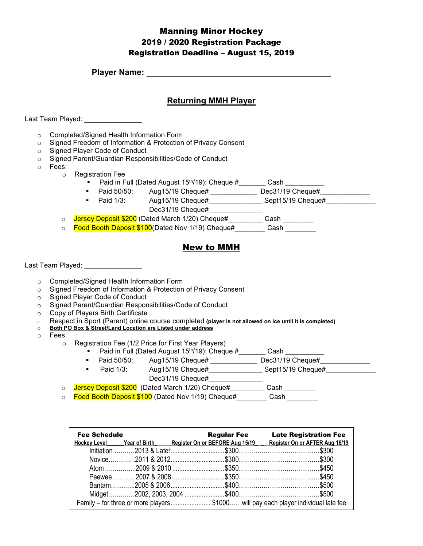## Manning Minor Hockey 2019 / 2020 Registration Package Registration Deadline – August 15, 2019

**Player Name: \_\_\_\_\_\_\_\_\_\_\_\_\_\_\_\_\_\_\_\_\_\_\_\_\_\_\_\_\_\_\_\_\_\_\_\_\_\_\_\_**

#### **Returning MMH Player**

Last Team Played: \_\_\_\_\_\_\_\_\_\_\_\_\_\_\_\_

- o Completed/Signed Health Information Form
- o Signed Freedom of Information & Protection of Privacy Consent
- o Signed Player Code of Conduct
- o Signed Parent/Guardian Responsibilities/Code of Conduct
- o Fees:
	- o Registration Fee
		- **Paid in Full (Dated August 15th/19): Cheque #** Cash Cash  $\overline{\phantom{a}}$
		- Paid 50/50: Aug15/19 Cheque# \_\_\_\_\_\_\_\_\_\_\_\_\_\_\_ Dec31/19 Cheque# \_\_\_
		- Paid 1/3: Aug15/19 Cheque#\_\_\_\_\_\_\_\_\_\_\_\_\_\_ Sept15/19 Cheque#\_\_\_\_\_\_\_\_\_\_\_\_\_ Dec31/19 Cheque#
		- o Jersey Deposit \$200 (Dated March 1/20) Cheque# Cash
		- o <mark>Food Booth Deposit \$100</mark>(Dated Nov 1/19) Cheque# Cash

## New to MMH

Last Team Played: \_\_\_\_\_\_\_\_\_\_\_\_\_\_\_\_

- o Completed/Signed Health Information Form
- o Signed Freedom of Information & Protection of Privacy Consent
- o Signed Player Code of Conduct
- o Signed Parent/Guardian Responsibilities/Code of Conduct
- o Copy of Players Birth Certificate
- o Respect in Sport (Parent) online course completed **(player is not allowed on ice until it is completed)**
- **Both PO Box & Street/Land Location are Listed under address**
- o Fees:
	- o Registration Fee (1/2 Price for First Year Players)
		- Paid in Full (Dated August 15<sup>th</sup>/19): Cheque  $\#$  \_\_\_\_\_\_\_\_\_\_ Cash \_\_\_\_\_\_\_\_\_\_\_\_\_<br>■ Paid 50/50: Aug15/19 Cheque# \_\_\_\_\_\_\_\_\_\_\_\_\_\_\_ Dec31/19 Cheque#
			- Aug15/19 Cheque# \_\_\_\_\_\_\_\_\_\_\_\_\_\_ Dec31/19 Cheque#
		- Paid 1/3: Aug15/19 Cheque# Sept15/19 Cheque# Dec31/19 Cheque#
	- o Jersey Deposit \$200 (Dated March 1/20) Cheque#\_\_\_\_\_\_\_\_ Cash \_\_\_\_\_\_\_\_
	- o Food Booth Deposit \$100 (Dated Nov 1/19) Cheque# Cash

| <b>Fee Schedule</b> |                                                                                  | <b>Regular Fee Late Registration Fee</b>                                                  |
|---------------------|----------------------------------------------------------------------------------|-------------------------------------------------------------------------------------------|
|                     |                                                                                  | Hockey Level Year of Birth Register On or BEFORE Aug 15/19 Register On or AFTER Aug 16/19 |
|                     |                                                                                  |                                                                                           |
|                     |                                                                                  |                                                                                           |
|                     |                                                                                  |                                                                                           |
|                     |                                                                                  |                                                                                           |
|                     |                                                                                  |                                                                                           |
|                     |                                                                                  |                                                                                           |
|                     | Family – for three or more players\$1000will pay each player individual late fee |                                                                                           |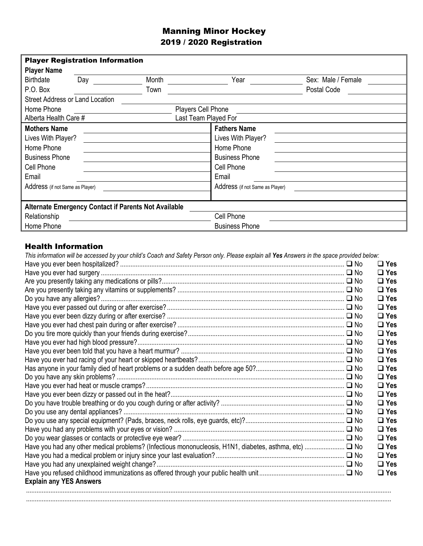# Manning Minor Hockey 2019 / 2020 Registration

| <b>Player Registration Information</b> |     |                                                      |                                 |                    |  |  |
|----------------------------------------|-----|------------------------------------------------------|---------------------------------|--------------------|--|--|
| <b>Player Name</b>                     |     |                                                      |                                 |                    |  |  |
| <b>Birthdate</b>                       | Day | Month                                                | Year                            | Sex: Male / Female |  |  |
| P.O. Box                               |     | Town                                                 |                                 | Postal Code        |  |  |
| <b>Street Address or Land Location</b> |     |                                                      |                                 |                    |  |  |
| Home Phone                             |     |                                                      | Players Cell Phone              |                    |  |  |
| Alberta Health Care #                  |     |                                                      | Last Team Played For            |                    |  |  |
| <b>Mothers Name</b>                    |     |                                                      | <b>Fathers Name</b>             |                    |  |  |
| Lives With Player?                     |     |                                                      | Lives With Player?              |                    |  |  |
| Home Phone                             |     |                                                      | Home Phone                      |                    |  |  |
| <b>Business Phone</b>                  |     |                                                      | <b>Business Phone</b>           |                    |  |  |
| Cell Phone                             |     |                                                      | Cell Phone                      |                    |  |  |
| Email                                  |     |                                                      | Email                           |                    |  |  |
| Address (if not Same as Player)        |     |                                                      | Address (if not Same as Player) |                    |  |  |
|                                        |     |                                                      |                                 |                    |  |  |
|                                        |     | Alternate Emergency Contact if Parents Not Available |                                 |                    |  |  |
| Relationship                           |     |                                                      | Cell Phone                      |                    |  |  |
| Home Phone                             |     |                                                      | <b>Business Phone</b>           |                    |  |  |

# Health Information

| This information will be accessed by your child's Coach and Safety Person only. Please explain all Yes Answers in the space provided below: |            |
|---------------------------------------------------------------------------------------------------------------------------------------------|------------|
|                                                                                                                                             | $\Box$ Yes |
|                                                                                                                                             | $\Box$ Yes |
|                                                                                                                                             | $\Box$ Yes |
|                                                                                                                                             | $\Box$ Yes |
|                                                                                                                                             | $\Box$ Yes |
|                                                                                                                                             | $\Box$ Yes |
|                                                                                                                                             | $\Box$ Yes |
|                                                                                                                                             | $\Box$ Yes |
|                                                                                                                                             | $\Box$ Yes |
|                                                                                                                                             | $\Box$ Yes |
|                                                                                                                                             | $\Box$ Yes |
|                                                                                                                                             | $\Box$ Yes |
|                                                                                                                                             | $\Box$ Yes |
|                                                                                                                                             | $\Box$ Yes |
|                                                                                                                                             | $\Box$ Yes |
|                                                                                                                                             | $\Box$ Yes |
|                                                                                                                                             | $\Box$ Yes |
|                                                                                                                                             | $\Box$ Yes |
|                                                                                                                                             | $\Box$ Yes |
|                                                                                                                                             | $\Box$ Yes |
|                                                                                                                                             | $\Box$ Yes |
|                                                                                                                                             | $\Box$ Yes |
|                                                                                                                                             | $\Box$ Yes |
|                                                                                                                                             | $\Box$ Yes |
|                                                                                                                                             | $\Box$ Yes |
| <b>Explain any YES Answers</b>                                                                                                              |            |
|                                                                                                                                             |            |
|                                                                                                                                             |            |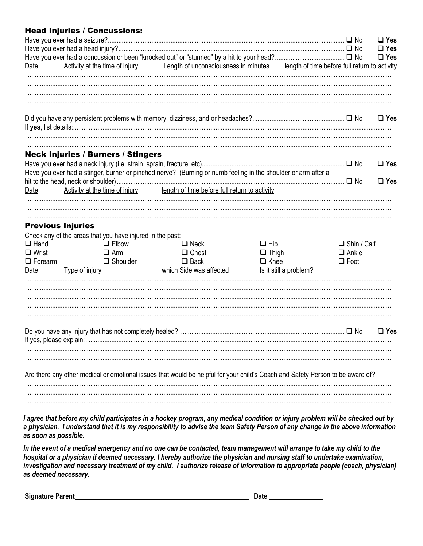### Head Injuries / Concussions:

|                                                       | 44 IIIJ4HJJJ / JJHJ4JJIJ                                                                                                                                        |                                                                       |                                                                     |                                                   | $\Box$ Yes<br>$\Box$ Yes |
|-------------------------------------------------------|-----------------------------------------------------------------------------------------------------------------------------------------------------------------|-----------------------------------------------------------------------|---------------------------------------------------------------------|---------------------------------------------------|--------------------------|
| Date                                                  |                                                                                                                                                                 | Activity at the time of injury Length of unconsciousness in minutes   |                                                                     | length of time before full return to activity     | $\Box$ Yes               |
|                                                       |                                                                                                                                                                 |                                                                       |                                                                     |                                                   | $\Box$ Yes               |
|                                                       | <b>Neck Injuries / Burners / Stingers</b><br>Have you ever had a stinger, burner or pinched nerve? (Burning or numb feeling in the shoulder or arm after a      |                                                                       |                                                                     |                                                   | $\Box$ Yes               |
| Date                                                  | Activity at the time of injury length of time before full return to activity                                                                                    |                                                                       |                                                                     |                                                   | $\Box$ Yes               |
| $\Box$ Hand<br>$\Box$ Wrist<br>$\Box$ Forearm<br>Date | <b>Previous Injuries</b><br>Check any of the areas that you have injured in the past:<br>$\Box$ Elbow<br>$\Box$ Arm<br>$\Box$ Shoulder<br><u>Type of injury</u> | $\Box$ Neck<br>$\Box$ Chest<br>$\Box$ Back<br>which Side was affected | $\Box$ Hip<br>$\Box$ Thigh<br>$\Box$ Knee<br>Is it still a problem? | $\Box$ Shin / Calf<br>$\Box$ Ankle<br>$\Box$ Foot |                          |
|                                                       |                                                                                                                                                                 |                                                                       |                                                                     |                                                   | $\Box$ Yes               |
|                                                       | Are there any other medical or emotional issues that would be helpful for your child's Coach and Safety Person to be aware of?                                  |                                                                       |                                                                     |                                                   |                          |

I agree that before my child participates in a hockey program, any medical condition or injury problem will be checked out by a physician. I understand that it is my responsibility to advise the team Safety Person of any change in the above information as soon as possible.

In the event of a medical emergency and no one can be contacted, team management will arrange to take my child to the hospital or a physician if deemed necessary. I hereby authorize the physician and nursing staff to undertake examination, investigation and necessary treatment of my child. I authorize release of information to appropriate people (coach, physician) as deemed necessary.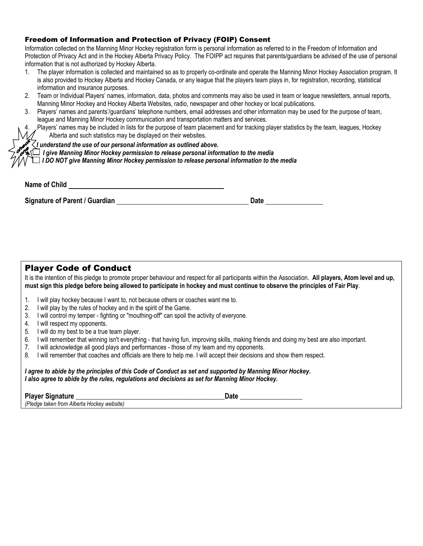#### Freedom of Information and Protection of Privacy (FOIP) Consent

Information collected on the Manning Minor Hockey registration form is personal information as referred to in the Freedom of Information and Protection of Privacy Act and in the Hockey Alberta Privacy Policy. The FOIPP act requires that parents/guardians be advised of the use of personal information that is not authorized by Hockey Alberta.

- 1. The player information is collected and maintained so as to properly co-ordinate and operate the Manning Minor Hockey Association program. It is also provided to Hockey Alberta and Hockey Canada, or any league that the players team plays in, for registration, recording, statistical information and insurance purposes.
- 2. Team or Individual Players' names, information, data, photos and comments may also be used in team or league newsletters, annual reports, Manning Minor Hockey and Hockey Alberta Websites, radio, newspaper and other hockey or local publications.
- 3. Players' names and parents'/guardians' telephone numbers, email addresses and other information may be used for the purpose of team, league and Manning Minor Hockey communication and transportation matters and services.
	- 4. Players' names may be included in lists for the purpose of team placement and for tracking player statistics by the team, leagues, Hockey Alberta and such statistics may be displayed on their websites.

#### *I understand the use of our personal information as outlined above.*

 *I give Manning Minor Hockey permission to release personal information to the media*

 *I DO NOT give Manning Minor Hockey permission to release personal information to the media*

| <b>Name of Child</b> |  |
|----------------------|--|
|                      |  |

**Signature of Parent / Guardian Date 2008 Contract and Date 2008 Contract and Date 2008 Contract and Date 2008 Contract and Date 2008 Contract and Date 2008 Contract and Date 2008 Contract and Date 2008 Contract and Date 2** 

Player Code of Conduct

| It is the intention of this pledge to promote proper behaviour and respect for all participants within the Association. All players, Atom level and up, |  |  |  |
|---------------------------------------------------------------------------------------------------------------------------------------------------------|--|--|--|
| must sign this pledge before being allowed to participate in hockey and must continue to observe the principles of Fair Play.                           |  |  |  |

- 1. I will play hockey because I want to, not because others or coaches want me to.
- 2. I will play by the rules of hockey and in the spirit of the Game.
- 3. I will control my temper fighting or "mouthing-off" can spoil the activity of everyone.
- 4. I will respect my opponents.
- 5. I will do my best to be a true team player.
- 6. I will remember that winning isn't everything that having fun, improving skills, making friends and doing my best are also important.
- 7. I will acknowledge all good plays and performances those of my team and my opponents.
- 8. I will remember that coaches and officials are there to help me. I will accept their decisions and show them respect.

*I agree to abide by the principles of this Code of Conduct as set and supported by Manning Minor Hockey. I also agree to abide by the rules, regulations and decisions as set for Manning Minor Hockey.*

**Player Signature example of the state of the state of the state of the state of the state of the state of the state of the state of the state of the state of the state of the state of the state of the state of the state o** 

*(Pledge taken from Alberta Hockey website)*